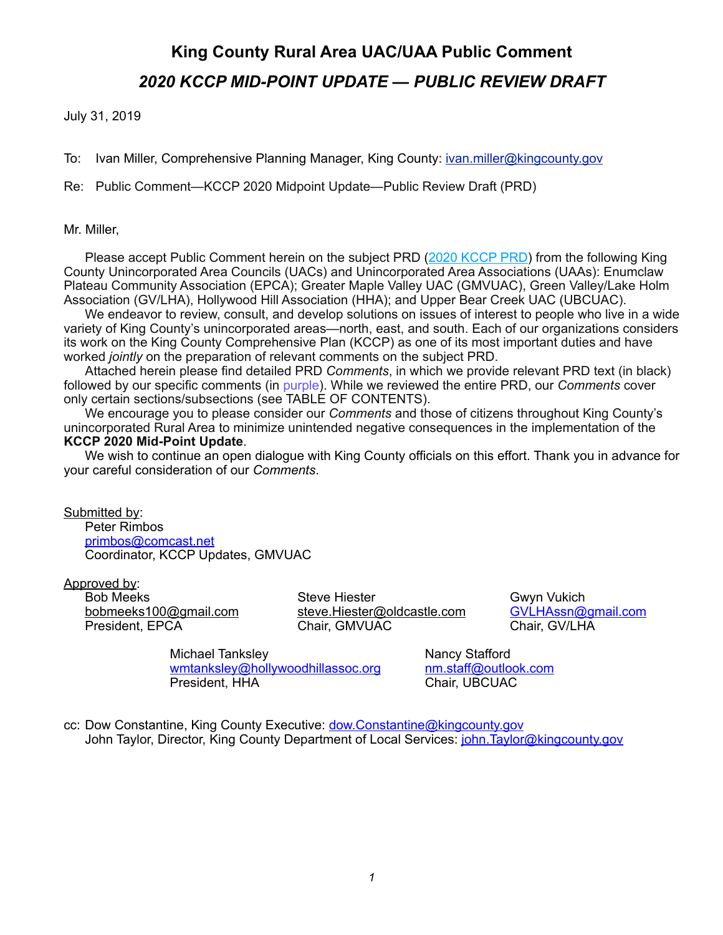July 31, 2019

To: Ivan Miller, Comprehensive Planning Manager, King County: *[ivan.miller@kingcounty.gov](mailto:ivan.miller@kingcounty.gov)* 

Re: Public Comment—KCCP 2020 Midpoint Update—Public Review Draft (PRD)

#### Mr. Miller,

Please accept Public Comment herein on the subject PRD [\(2020 KCCP PRD](https://www.kingcounty.gov/depts/executive/performance-strategy-budget/regional-planning/king-county-comprehensive-plan/2020-Public-Review-Draft.aspx)) from the following King County Unincorporated Area Councils (UACs) and Unincorporated Area Associations (UAAs): Enumclaw Plateau Community Association (EPCA); Greater Maple Valley UAC (GMVUAC), Green Valley/Lake Holm Association (GV/LHA), Hollywood Hill Association (HHA); and Upper Bear Creek UAC (UBCUAC).

 We endeavor to review, consult, and develop solutions on issues of interest to people who live in a wide variety of King County's unincorporated areas—north, east, and south. Each of our organizations considers its work on the King County Comprehensive Plan (KCCP) as one of its most important duties and have worked *jointly* on the preparation of relevant comments on the subject PRD.

 Attached herein please find detailed PRD *Comments*, in which we provide relevant PRD text (in black) followed by our specific comments (in purple). While we reviewed the entire PRD, our *Comments* cover only certain sections/subsections (see TABLE OF CONTENTS).

 We encourage you to please consider our *Comments* and those of citizens throughout King County's unincorporated Rural Area to minimize unintended negative consequences in the implementation of the **KCCP 2020 Mid-Point Update**.

 We wish to continue an open dialogue with King County officials on this effort. Thank you in advance for your careful consideration of our *Comments*.

Submitted by: Peter Rimbos [primbos@comcast.net](mailto:primbos@comcast.net) Coordinator, KCCP Updates, GMVUAC

Approved by:

Bob Meeks **Steve Hiester** Gwyn Vukich Gwyn Vukich [bobmeeks100@gmail.com](mailto:bobmeeks100@gmail.com) [steve.Hiester@oldcastle.com](mailto:steve.Hiester@oldcastle.com) [GVLHAssn@gmail.com](mailto:GVLHAssn@gmail.com) President, EPCA Chair, GMVUAC Chair, GMVUAC Chair, GV/LHA

Michael Tanksley Nancy Stafford [wmtanksley@hollywoodhillassoc.org](mailto:wmtanksley@hollywoodhillassoc.org) [nm.staff@outlook.com](mailto:nm.staff@outlook.com) President, HHA Chair, UBCUAC

cc: Dow Constantine, King County Executive: [dow.Constantine@kingcounty.gov](mailto:dow.Constantine@kingcounty.gov) John Taylor, Director, King County Department of Local Services: *[john.Taylor@kingcounty.gov](mailto:john.Taylor@kingcounty.gov)*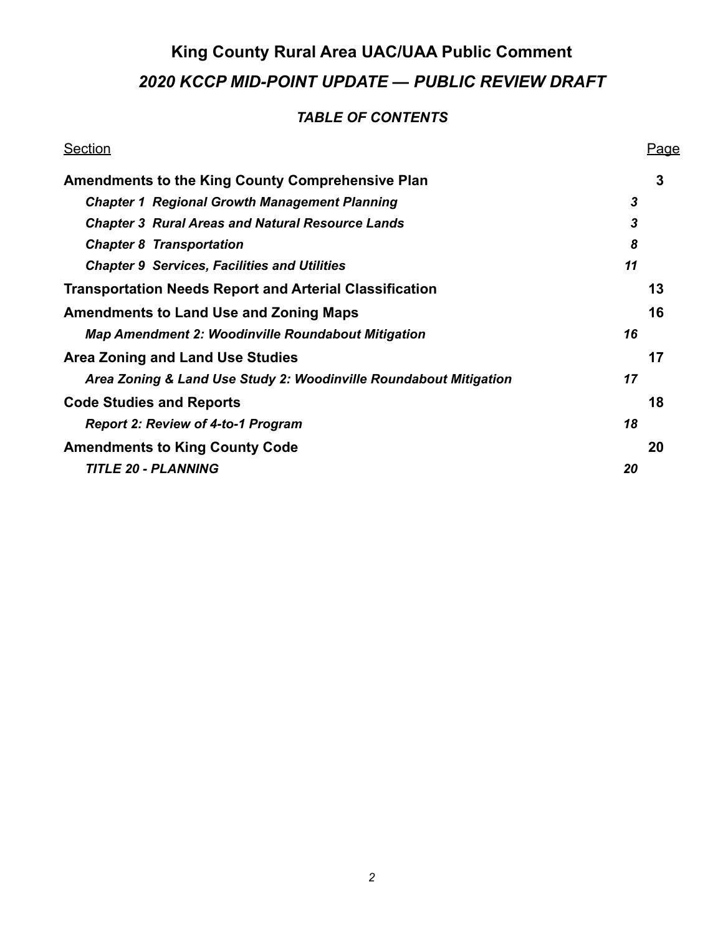### *TABLE OF CONTENTS*

| <b>Section</b>                                                    | <u>Page</u> |
|-------------------------------------------------------------------|-------------|
| <b>Amendments to the King County Comprehensive Plan</b>           | 3           |
| <b>Chapter 1 Regional Growth Management Planning</b>              | 3           |
| <b>Chapter 3 Rural Areas and Natural Resource Lands</b>           | 3           |
| <b>Chapter 8 Transportation</b>                                   | 8           |
| <b>Chapter 9 Services, Facilities and Utilities</b>               | 11          |
| <b>Transportation Needs Report and Arterial Classification</b>    | 13          |
| <b>Amendments to Land Use and Zoning Maps</b>                     | 16          |
| <b>Map Amendment 2: Woodinville Roundabout Mitigation</b>         | 16          |
| <b>Area Zoning and Land Use Studies</b>                           | 17          |
| Area Zoning & Land Use Study 2: Woodinville Roundabout Mitigation | 17          |
| <b>Code Studies and Reports</b>                                   | 18          |
| <b>Report 2: Review of 4-to-1 Program</b>                         | 18          |
| <b>Amendments to King County Code</b>                             | 20          |
| <b>TITLE 20 - PLANNING</b>                                        | 20          |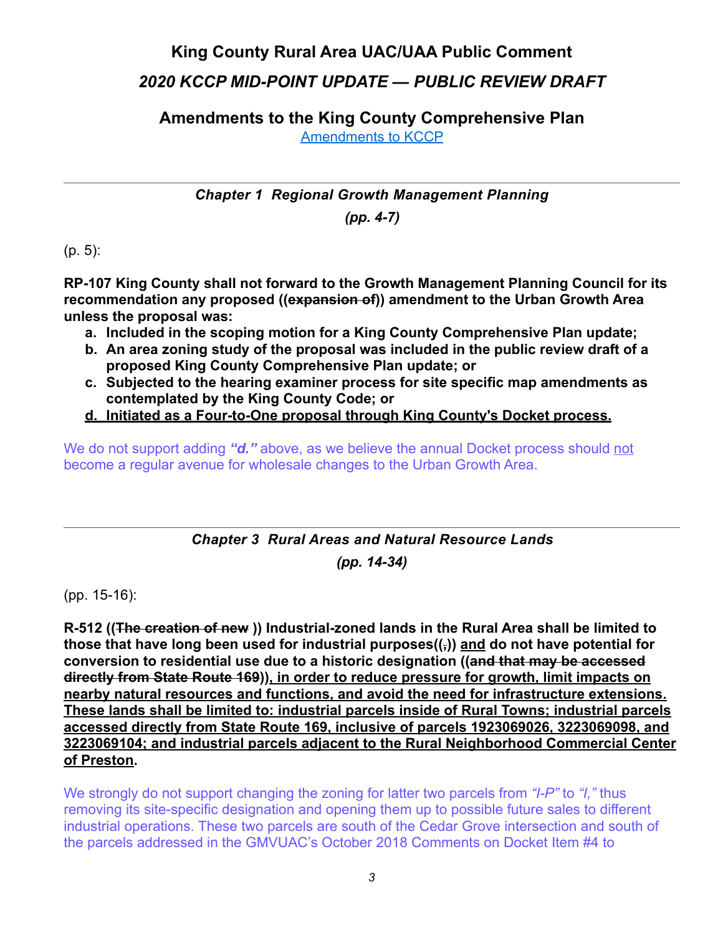## **King County Rural Area UAC/UAA Public Comment**

## *2020 KCCP MID-POINT UPDATE — PUBLIC REVIEW DRAFT*

<span id="page-2-0"></span>**Amendments to the King County Comprehensive Plan**  [Amendments to KCCP](https://www.kingcounty.gov/~/media/depts/executive/performance-strategy-budget/regional-planning/2020CompPlanUpdate/2020-PRD/b-PRD-Comprehensive-Plan-Amendments.ashx?la=en)

<span id="page-2-1"></span>*Chapter 1 Regional Growth Management Planning (pp. 4-7)*

(p. 5):

**RP-107 King County shall not forward to the Growth Management Planning Council for its recommendation any proposed ((expansion of)) amendment to the Urban Growth Area unless the proposal was:** 

- **a. Included in the scoping motion for a King County Comprehensive Plan update;**
- **b. An area zoning study of the proposal was included in the public review draft of a proposed King County Comprehensive Plan update; or**
- **c. Subjected to the hearing examiner process for site specific map amendments as contemplated by the King County Code; or**
- **d. Initiated as a Four-to-One proposal through King County's Docket process.**

We do not support adding *"d."* above, as we believe the annual Docket process should not become a regular avenue for wholesale changes to the Urban Growth Area.

## <span id="page-2-2"></span>*Chapter 3 Rural Areas and Natural Resource Lands*

*(pp. 14-34)* 

(pp. 15-16):

**R-512 ((The creation of new )) Industrial-zoned lands in the Rural Area shall be limited to those that have long been used for industrial purposes((,)) and do not have potential for conversion to residential use due to a historic designation ((and that may be accessed directly from State Route 169)), in order to reduce pressure for growth, limit impacts on nearby natural resources and functions, and avoid the need for infrastructure extensions. These lands shall be limited to: industrial parcels inside of Rural Towns; industrial parcels accessed directly from State Route 169, inclusive of parcels 1923069026, 3223069098, and 3223069104; and industrial parcels adjacent to the Rural Neighborhood Commercial Center of Preston.** 

We strongly do not support changing the zoning for latter two parcels from *"I-P"* to *"I,"* thus removing its site-specific designation and opening them up to possible future sales to different industrial operations. These two parcels are south of the Cedar Grove intersection and south of the parcels addressed in the GMVUAC's October 2018 Comments on Docket Item #4 to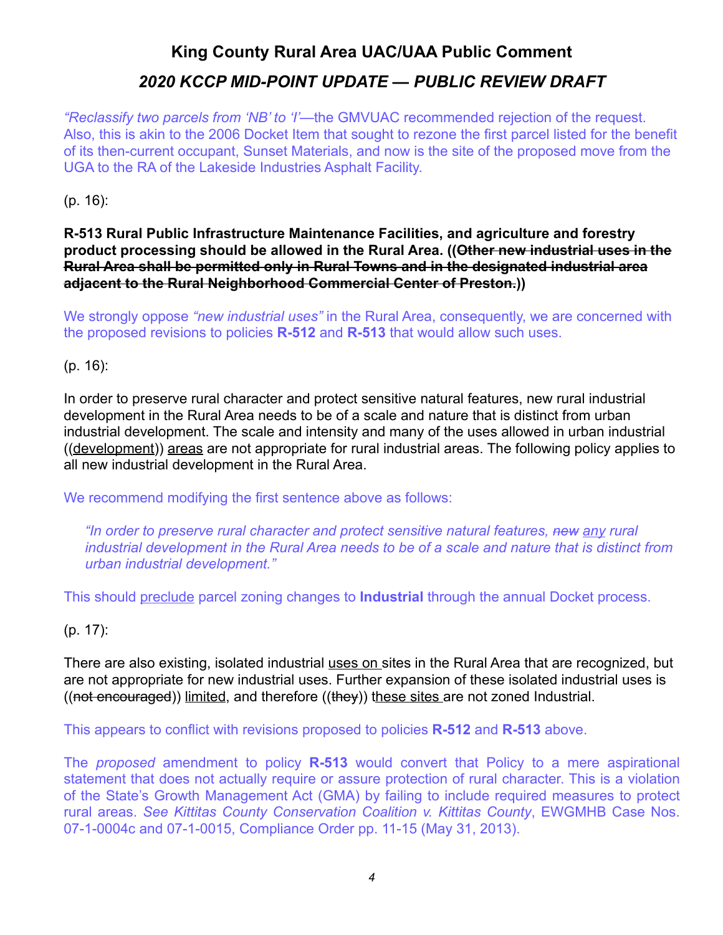*"Reclassify two parcels from 'NB' to 'I'*—the GMVUAC recommended rejection of the request. Also, this is akin to the 2006 Docket Item that sought to rezone the first parcel listed for the benefit of its then-current occupant, Sunset Materials, and now is the site of the proposed move from the UGA to the RA of the Lakeside Industries Asphalt Facility.

(p. 16):

#### **R-513 Rural Public Infrastructure Maintenance Facilities, and agriculture and forestry product processing should be allowed in the Rural Area. ((Other new industrial uses in the Rural Area shall be permitted only in Rural Towns and in the designated industrial area adjacent to the Rural Neighborhood Commercial Center of Preston.))**

We strongly oppose *"new industrial uses"* in the Rural Area, consequently, we are concerned with the proposed revisions to policies **R-512** and **R-513** that would allow such uses.

(p. 16):

In order to preserve rural character and protect sensitive natural features, new rural industrial development in the Rural Area needs to be of a scale and nature that is distinct from urban industrial development. The scale and intensity and many of the uses allowed in urban industrial ((development)) areas are not appropriate for rural industrial areas. The following policy applies to all new industrial development in the Rural Area.

We recommend modifying the first sentence above as follows:

*"In order to preserve rural character and protect sensitive natural features, new any rural industrial development in the Rural Area needs to be of a scale and nature that is distinct from urban industrial development."* 

This should preclude parcel zoning changes to **Industrial** through the annual Docket process.

(p. 17):

There are also existing, isolated industrial uses on sites in the Rural Area that are recognized, but are not appropriate for new industrial uses. Further expansion of these isolated industrial uses is ((not encouraged)) limited, and therefore ((they)) these sites are not zoned Industrial.

This appears to conflict with revisions proposed to policies **R-512** and **R-513** above.

The *proposed* amendment to policy **R-513** would convert that Policy to a mere aspirational statement that does not actually require or assure protection of rural character. This is a violation of the State's Growth Management Act (GMA) by failing to include required measures to protect rural areas. *See Kittitas County Conservation Coalition v. Kittitas County*, EWGMHB Case Nos. 07-1-0004c and 07-1-0015, Compliance Order pp. 11-15 (May 31, 2013).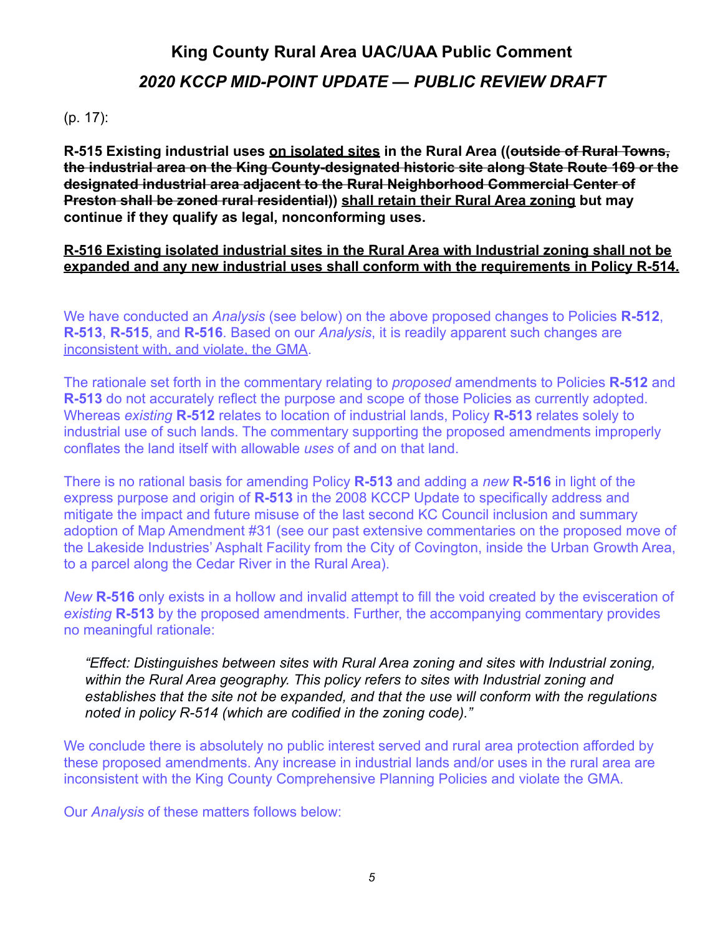#### (p. 17):

**R-515 Existing industrial uses on isolated sites in the Rural Area ((outside of Rural Towns, the industrial area on the King County-designated historic site along State Route 169 or the designated industrial area adjacent to the Rural Neighborhood Commercial Center of Preston shall be zoned rural residential)) shall retain their Rural Area zoning but may continue if they qualify as legal, nonconforming uses.** 

#### **R-516 Existing isolated industrial sites in the Rural Area with Industrial zoning shall not be expanded and any new industrial uses shall conform with the requirements in Policy R-514.**

We have conducted an *Analysis* (see below) on the above proposed changes to Policies **R-512**, **R-513**, **R-515**, and **R-516**. Based on our *Analysis*, it is readily apparent such changes are inconsistent with, and violate, the GMA.

The rationale set forth in the commentary relating to *proposed* amendments to Policies **R-512** and **R-513** do not accurately reflect the purpose and scope of those Policies as currently adopted. Whereas *existing* **R-512** relates to location of industrial lands, Policy **R-513** relates solely to industrial use of such lands. The commentary supporting the proposed amendments improperly conflates the land itself with allowable *uses* of and on that land.

There is no rational basis for amending Policy **R-513** and adding a *new* **R-516** in light of the express purpose and origin of **R-513** in the 2008 KCCP Update to specifically address and mitigate the impact and future misuse of the last second KC Council inclusion and summary adoption of Map Amendment #31 (see our past extensive commentaries on the proposed move of the Lakeside Industries' Asphalt Facility from the City of Covington, inside the Urban Growth Area, to a parcel along the Cedar River in the Rural Area).

*New* **R-516** only exists in a hollow and invalid attempt to fill the void created by the evisceration of *existing* **R-513** by the proposed amendments. Further, the accompanying commentary provides no meaningful rationale:

*"Effect: Distinguishes between sites with Rural Area zoning and sites with Industrial zoning, within the Rural Area geography. This policy refers to sites with Industrial zoning and establishes that the site not be expanded, and that the use will conform with the regulations noted in policy R-514 (which are codified in the zoning code)."*

We conclude there is absolutely no public interest served and rural area protection afforded by these proposed amendments. Any increase in industrial lands and/or uses in the rural area are inconsistent with the King County Comprehensive Planning Policies and violate the GMA.

Our *Analysis* of these matters follows below: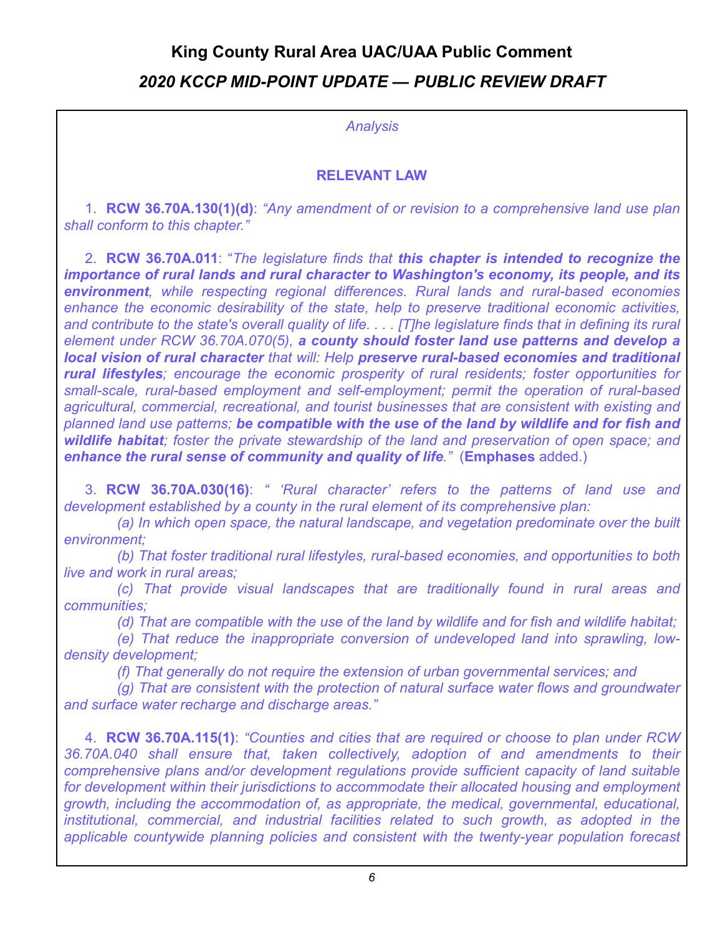*Analysis* 

#### **RELEVANT LAW**

 1. **RCW 36.70A.130(1)(d)**: *"Any amendment of or revision to a comprehensive land use plan shall conform to this chapter."*

 2. **RCW 36.70A.011**: "*The legislature finds that this chapter is intended to recognize the importance of rural lands and rural character to Washington's economy, its people, and its environment, while respecting regional differences. Rural lands and rural-based economies enhance the economic desirability of the state, help to preserve traditional economic activities, and contribute to the state's overall quality of life. . . . [T]he legislature finds that in defining its rural element under RCW 36.70A.070(5), a county should foster land use patterns and develop a local vision of rural character that will: Help preserve rural-based economies and traditional rural lifestyles; encourage the economic prosperity of rural residents; foster opportunities for small-scale, rural-based employment and self-employment; permit the operation of rural-based agricultural, commercial, recreational, and tourist businesses that are consistent with existing and planned land use patterns; be compatible with the use of the land by wildlife and for fish and wildlife habitat; foster the private stewardship of the land and preservation of open space; and enhance the rural sense of community and quality of life."* (**Emphases** added.)

 3. **RCW 36.70A.030(16)**: *" 'Rural character' refers to the patterns of land use and development established by a county in the rural element of its comprehensive plan:* 

 *(a) In which open space, the natural landscape, and vegetation predominate over the built environment;* 

 *(b) That foster traditional rural lifestyles, rural-based economies, and opportunities to both live and work in rural areas;* 

 *(c) That provide visual landscapes that are traditionally found in rural areas and communities;* 

 *(d) That are compatible with the use of the land by wildlife and for fish and wildlife habitat;* 

 *(e) That reduce the inappropriate conversion of undeveloped land into sprawling, lowdensity development;* 

 *(f) That generally do not require the extension of urban governmental services; and* 

 *(g) That are consistent with the protection of natural surface water flows and groundwater and surface water recharge and discharge areas."* 

 4. **RCW 36.70A.115(1)**: *"Counties and cities that are required or choose to plan under RCW 36.70A.040 shall ensure that, taken collectively, adoption of and amendments to their comprehensive plans and/or development regulations provide sufficient capacity of land suitable for development within their jurisdictions to accommodate their allocated housing and employment growth, including the accommodation of, as appropriate, the medical, governmental, educational, institutional, commercial, and industrial facilities related to such growth, as adopted in the applicable countywide planning policies and consistent with the twenty-year population forecast*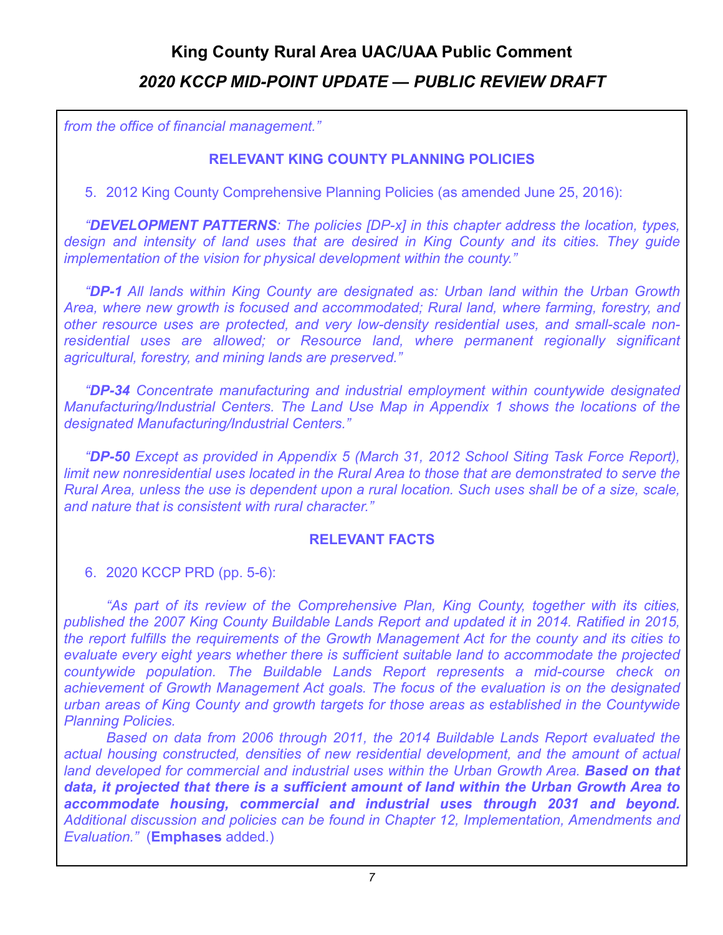*from the office of financial management."*

#### **RELEVANT KING COUNTY PLANNING POLICIES**

5. 2012 King County Comprehensive Planning Policies (as amended June 25, 2016):

*"DEVELOPMENT PATTERNS: The policies [DP-x] in this chapter address the location, types, design and intensity of land uses that are desired in King County and its cities. They guide implementation of the vision for physical development within the county."*

*"DP-1 All lands within King County are designated as: Urban land within the Urban Growth Area, where new growth is focused and accommodated; Rural land, where farming, forestry, and other resource uses are protected, and very low-density residential uses, and small-scale nonresidential uses are allowed; or Resource land, where permanent regionally significant agricultural, forestry, and mining lands are preserved."*

*"DP-34 Concentrate manufacturing and industrial employment within countywide designated Manufacturing/Industrial Centers. The Land Use Map in Appendix 1 shows the locations of the designated Manufacturing/Industrial Centers."* 

 *"DP-50 Except as provided in Appendix 5 (March 31, 2012 School Siting Task Force Report), limit new nonresidential uses located in the Rural Area to those that are demonstrated to serve the Rural Area, unless the use is dependent upon a rural location. Such uses shall be of a size, scale, and nature that is consistent with rural character."* 

#### **RELEVANT FACTS**

6. 2020 KCCP PRD (pp. 5-6):

 *"As part of its review of the Comprehensive Plan, King County, together with its cities, published the 2007 King County Buildable Lands Report and updated it in 2014. Ratified in 2015, the report fulfills the requirements of the Growth Management Act for the county and its cities to evaluate every eight years whether there is sufficient suitable land to accommodate the projected countywide population. The Buildable Lands Report represents a mid-course check on achievement of Growth Management Act goals. The focus of the evaluation is on the designated urban areas of King County and growth targets for those areas as established in the Countywide Planning Policies.* 

 *Based on data from 2006 through 2011, the 2014 Buildable Lands Report evaluated the actual housing constructed, densities of new residential development, and the amount of actual*  land developed for commercial and industrial uses within the Urban Growth Area. **Based on that** *data, it projected that there is a sufficient amount of land within the Urban Growth Area to accommodate housing, commercial and industrial uses through 2031 and beyond. Additional discussion and policies can be found in Chapter 12, Implementation, Amendments and Evaluation."* (**Emphases** added.)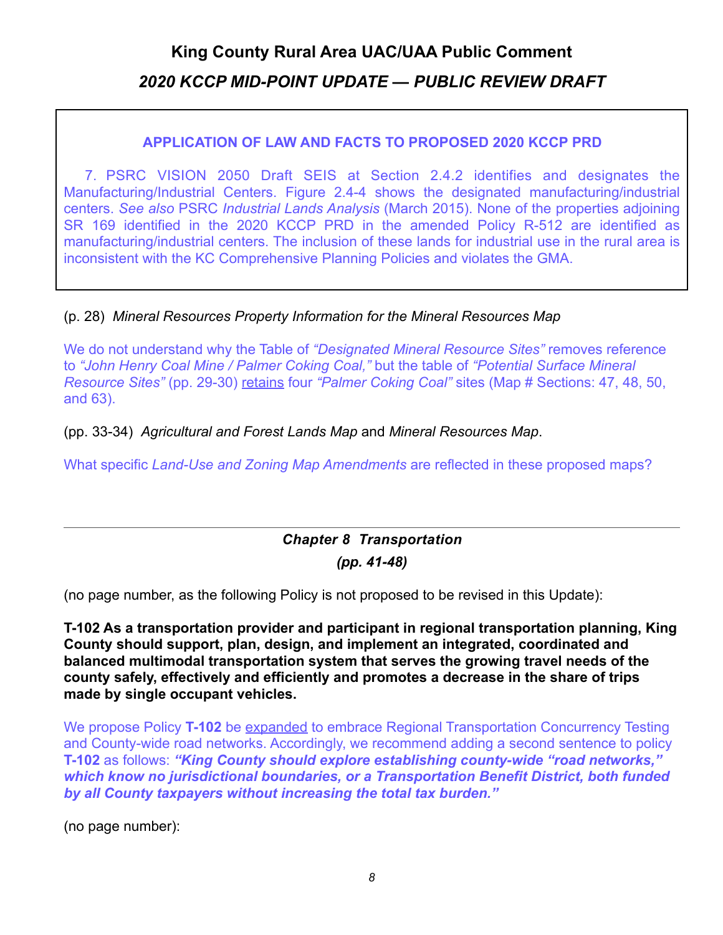#### **APPLICATION OF LAW AND FACTS TO PROPOSED 2020 KCCP PRD**

 7. PSRC VISION 2050 Draft SEIS at Section 2.4.2 identifies and designates the Manufacturing/Industrial Centers. Figure 2.4-4 shows the designated manufacturing/industrial centers. *See also* PSRC *Industrial Lands Analysis* (March 2015). None of the properties adjoining SR 169 identified in the 2020 KCCP PRD in the amended Policy R-512 are identified as manufacturing/industrial centers. The inclusion of these lands for industrial use in the rural area is inconsistent with the KC Comprehensive Planning Policies and violates the GMA.

### (p. 28) *Mineral Resources Property Information for the Mineral Resources Map*

We do not understand why the Table of *"Designated Mineral Resource Sites"* removes reference to *"John Henry Coal Mine / Palmer Coking Coal,"* but the table of *"Potential Surface Mineral Resource Sites"* (pp. 29-30) retains four *"Palmer Coking Coal"* sites (Map # Sections: 47, 48, 50, and 63).

(pp. 33-34) *Agricultural and Forest Lands Map* and *Mineral Resources Map*.

What specific *Land-Use and Zoning Map Amendments* are reflected in these proposed maps?

# <span id="page-7-0"></span>*Chapter 8 Transportation*

*(pp. 41-48)* 

(no page number, as the following Policy is not proposed to be revised in this Update):

**T-102 As a transportation provider and participant in regional transportation planning, King County should support, plan, design, and implement an integrated, coordinated and balanced multimodal transportation system that serves the growing travel needs of the county safely, effectively and efficiently and promotes a decrease in the share of trips made by single occupant vehicles.** 

We propose Policy **T-102** be expanded to embrace Regional Transportation Concurrency Testing and County-wide road networks. Accordingly, we recommend adding a second sentence to policy **T-102** as follows: *"King County should explore establishing county-wide "road networks," which know no jurisdictional boundaries, or a Transportation Benefit District, both funded by all County taxpayers without increasing the total tax burden."*

(no page number):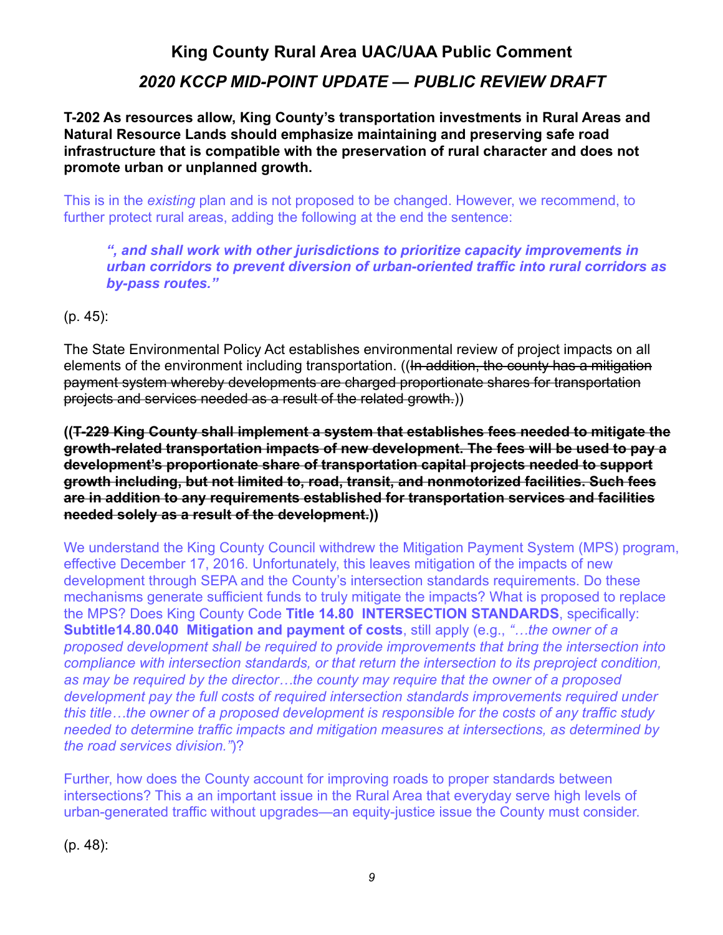## **King County Rural Area UAC/UAA Public Comment**

## *2020 KCCP MID-POINT UPDATE — PUBLIC REVIEW DRAFT*

**T-202 As resources allow, King County's transportation investments in Rural Areas and Natural Resource Lands should emphasize maintaining and preserving safe road infrastructure that is compatible with the preservation of rural character and does not promote urban or unplanned growth.** 

This is in the *existing* plan and is not proposed to be changed. However, we recommend, to further protect rural areas, adding the following at the end the sentence:

*", and shall work with other jurisdictions to prioritize capacity improvements in urban corridors to prevent diversion of urban-oriented traffic into rural corridors as by-pass routes."*

(p. 45):

The State Environmental Policy Act establishes environmental review of project impacts on all elements of the environment including transportation. ((In addition, the county has a mitigation payment system whereby developments are charged proportionate shares for transportation projects and services needed as a result of the related growth.))

**((T-229 King County shall implement a system that establishes fees needed to mitigate the growth-related transportation impacts of new development. The fees will be used to pay a development's proportionate share of transportation capital projects needed to support growth including, but not limited to, road, transit, and nonmotorized facilities. Such fees are in addition to any requirements established for transportation services and facilities needed solely as a result of the development.))** 

We understand the King County Council withdrew the Mitigation Payment System (MPS) program, effective December 17, 2016. Unfortunately, this leaves mitigation of the impacts of new development through SEPA and the County's intersection standards requirements. Do these mechanisms generate sufficient funds to truly mitigate the impacts? What is proposed to replace the MPS? Does King County Code **Title 14.80 INTERSECTION STANDARDS**, specifically: **Subtitle14.80.040 Mitigation and payment of costs**, still apply (e.g., *"…the owner of a proposed development shall be required to provide improvements that bring the intersection into compliance with intersection standards, or that return the intersection to its preproject condition, as may be required by the director…the county may require that the owner of a proposed development pay the full costs of required intersection standards improvements required under this title…the owner of a proposed development is responsible for the costs of any traffic study needed to determine traffic impacts and mitigation measures at intersections, as determined by the road services division."*)?

Further, how does the County account for improving roads to proper standards between intersections? This a an important issue in the Rural Area that everyday serve high levels of urban-generated traffic without upgrades—an equity-justice issue the County must consider.

(p. 48):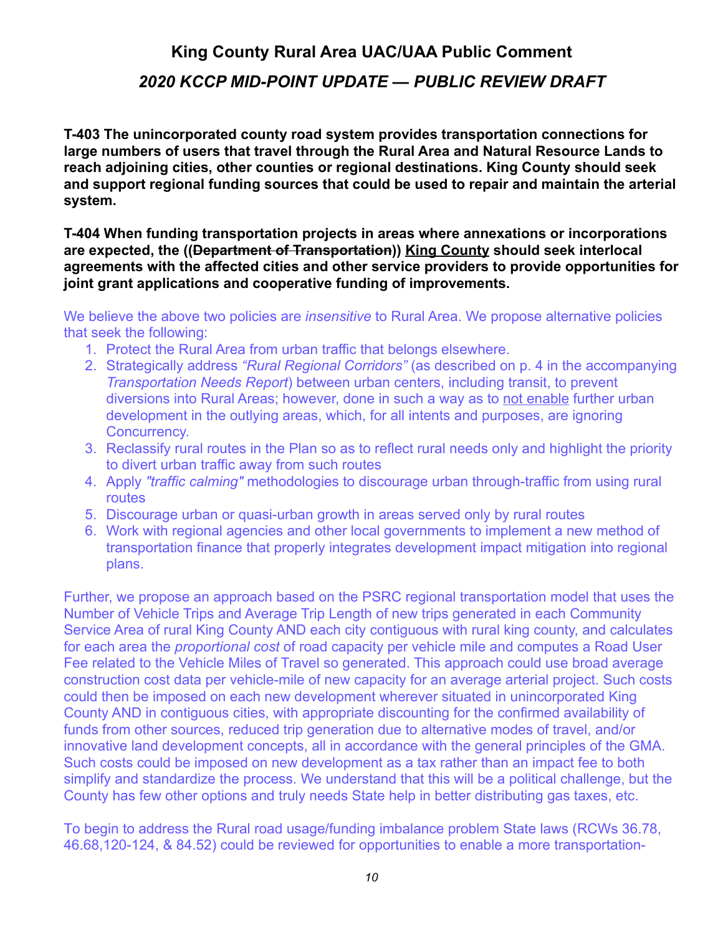## **King County Rural Area UAC/UAA Public Comment**

### *2020 KCCP MID-POINT UPDATE — PUBLIC REVIEW DRAFT*

**T-403 The unincorporated county road system provides transportation connections for large numbers of users that travel through the Rural Area and Natural Resource Lands to reach adjoining cities, other counties or regional destinations. King County should seek and support regional funding sources that could be used to repair and maintain the arterial system.** 

**T-404 When funding transportation projects in areas where annexations or incorporations are expected, the ((Department of Transportation)) King County should seek interlocal agreements with the affected cities and other service providers to provide opportunities for joint grant applications and cooperative funding of improvements.** 

We believe the above two policies are *insensitive* to Rural Area. We propose alternative policies that seek the following:

- 1. Protect the Rural Area from urban traffic that belongs elsewhere.
- 2. Strategically address *"Rural Regional Corridors"* (as described on p. 4 in the accompanying *Transportation Needs Report*) between urban centers, including transit, to prevent diversions into Rural Areas; however, done in such a way as to not enable further urban development in the outlying areas, which, for all intents and purposes, are ignoring Concurrency.
- 3. Reclassify rural routes in the Plan so as to reflect rural needs only and highlight the priority to divert urban traffic away from such routes
- 4. Apply *"traffic calming"* methodologies to discourage urban through-traffic from using rural routes
- 5. Discourage urban or quasi-urban growth in areas served only by rural routes
- 6. Work with regional agencies and other local governments to implement a new method of transportation finance that properly integrates development impact mitigation into regional plans.

Further, we propose an approach based on the PSRC regional transportation model that uses the Number of Vehicle Trips and Average Trip Length of new trips generated in each Community Service Area of rural King County AND each city contiguous with rural king county, and calculates for each area the *proportional cost* of road capacity per vehicle mile and computes a Road User Fee related to the Vehicle Miles of Travel so generated. This approach could use broad average construction cost data per vehicle-mile of new capacity for an average arterial project. Such costs could then be imposed on each new development wherever situated in unincorporated King County AND in contiguous cities, with appropriate discounting for the confirmed availability of funds from other sources, reduced trip generation due to alternative modes of travel, and/or innovative land development concepts, all in accordance with the general principles of the GMA. Such costs could be imposed on new development as a tax rather than an impact fee to both simplify and standardize the process. We understand that this will be a political challenge, but the County has few other options and truly needs State help in better distributing gas taxes, etc.

To begin to address the Rural road usage/funding imbalance problem State laws (RCWs 36.78, 46.68,120-124, & 84.52) could be reviewed for opportunities to enable a more transportation-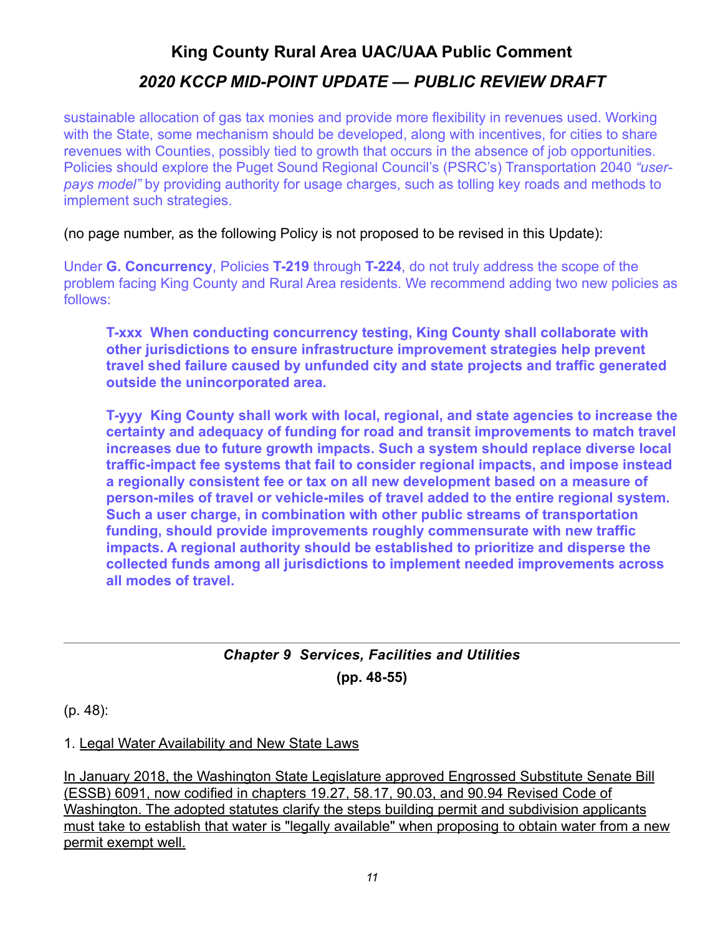sustainable allocation of gas tax monies and provide more flexibility in revenues used. Working with the State, some mechanism should be developed, along with incentives, for cities to share revenues with Counties, possibly tied to growth that occurs in the absence of job opportunities. Policies should explore the Puget Sound Regional Council's (PSRC's) Transportation 2040 *"userpays model"* by providing authority for usage charges, such as tolling key roads and methods to implement such strategies.

(no page number, as the following Policy is not proposed to be revised in this Update):

Under **G. Concurrency**, Policies **T-219** through **T-224**, do not truly address the scope of the problem facing King County and Rural Area residents. We recommend adding two new policies as follows:

**T-xxx When conducting concurrency testing, King County shall collaborate with other jurisdictions to ensure infrastructure improvement strategies help prevent travel shed failure caused by unfunded city and state projects and traffic generated outside the unincorporated area.** 

**T-yyy King County shall work with local, regional, and state agencies to increase the certainty and adequacy of funding for road and transit improvements to match travel increases due to future growth impacts. Such a system should replace diverse local traffic-impact fee systems that fail to consider regional impacts, and impose instead a regionally consistent fee or tax on all new development based on a measure of person-miles of travel or vehicle-miles of travel added to the entire regional system. Such a user charge, in combination with other public streams of transportation funding, should provide improvements roughly commensurate with new traffic impacts. A regional authority should be established to prioritize and disperse the collected funds among all jurisdictions to implement needed improvements across all modes of travel.** 

### <span id="page-10-0"></span>*Chapter 9 Services, Facilities and Utilities*  **(pp. 48-55)**

(p. 48):

1. Legal Water Availability and New State Laws

In January 2018, the Washington State Legislature approved Engrossed Substitute Senate Bill (ESSB) 6091, now codified in chapters 19.27, 58.17, 90.03, and 90.94 Revised Code of Washington. The adopted statutes clarify the steps building permit and subdivision applicants must take to establish that water is "legally available" when proposing to obtain water from a new permit exempt well.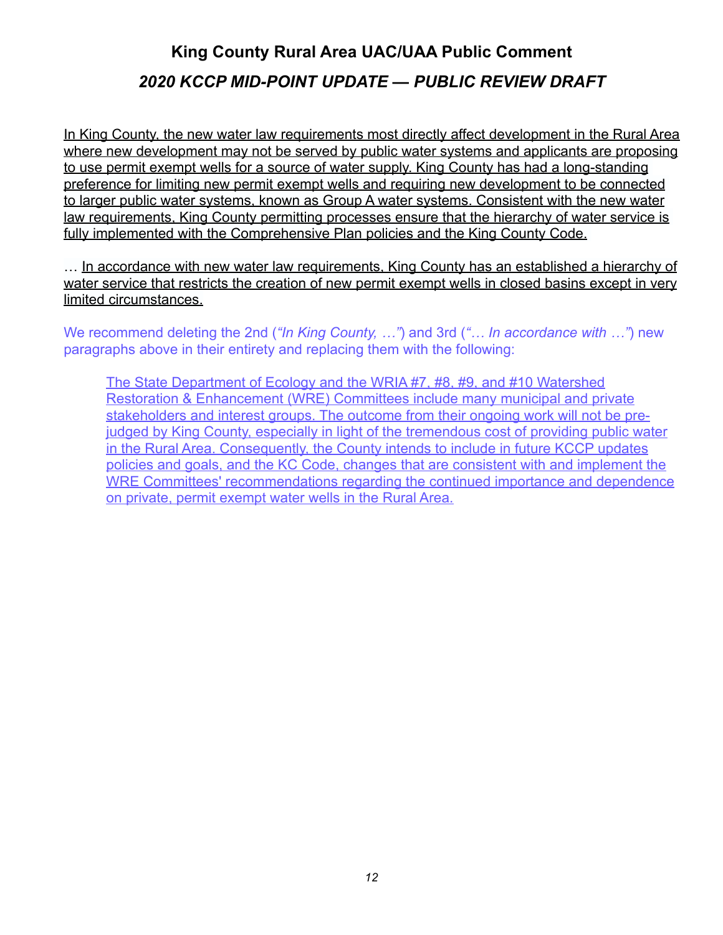In King County, the new water law requirements most directly affect development in the Rural Area where new development may not be served by public water systems and applicants are proposing to use permit exempt wells for a source of water supply. King County has had a long-standing preference for limiting new permit exempt wells and requiring new development to be connected to larger public water systems, known as Group A water systems. Consistent with the new water law requirements, King County permitting processes ensure that the hierarchy of water service is fully implemented with the Comprehensive Plan policies and the King County Code.

... In accordance with new water law requirements, King County has an established a hierarchy of water service that restricts the creation of new permit exempt wells in closed basins except in very limited circumstances.

We recommend deleting the 2nd (*"In King County, …"*) and 3rd (*"… In accordance with …"*) new paragraphs above in their entirety and replacing them with the following:

The State Department of Ecology and the WRIA #7, #8, #9, and #10 Watershed Restoration & Enhancement (WRE) Committees include many municipal and private stakeholders and interest groups. The outcome from their ongoing work will not be prejudged by King County, especially in light of the tremendous cost of providing public water in the Rural Area. Consequently, the County intends to include in future KCCP updates policies and goals, and the KC Code, changes that are consistent with and implement the WRE Committees' recommendations regarding the continued importance and dependence on private, permit exempt water wells in the Rural Area.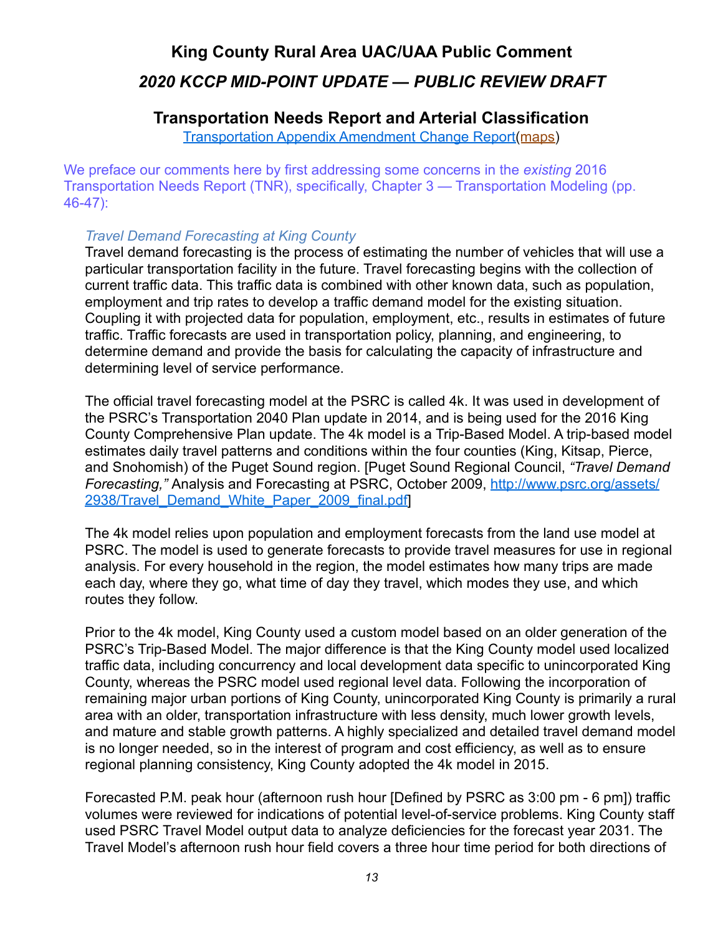### <span id="page-12-0"></span>**Transportation Needs Report and Arterial Classification**

[Transportation Appendix Amendment Change Report\(](https://www.kingcounty.gov/~/media/depts/executive/performance-strategy-budget/regional-planning/2020CompPlanUpdate/2020-PRD/c-PRD-Transportation-Appendix-Change-Report.ashx?la=en)[maps\)](https://www.kingcounty.gov/~/media/depts/executive/performance-strategy-budget/regional-planning/2020CompPlanUpdate/2020-PRD/c-PRD-Transportation-Appendix-maps.ashx?la=en)

We preface our comments here by first addressing some concerns in the *existing* 2016 Transportation Needs Report (TNR), specifically, Chapter 3 — Transportation Modeling (pp. 46-47):

#### *Travel Demand Forecasting at King County*

Travel demand forecasting is the process of estimating the number of vehicles that will use a particular transportation facility in the future. Travel forecasting begins with the collection of current traffic data. This traffic data is combined with other known data, such as population, employment and trip rates to develop a traffic demand model for the existing situation. Coupling it with projected data for population, employment, etc., results in estimates of future traffic. Traffic forecasts are used in transportation policy, planning, and engineering, to determine demand and provide the basis for calculating the capacity of infrastructure and determining level of service performance.

The official travel forecasting model at the PSRC is called 4k. It was used in development of the PSRC's Transportation 2040 Plan update in 2014, and is being used for the 2016 King County Comprehensive Plan update. The 4k model is a Trip-Based Model. A trip-based model estimates daily travel patterns and conditions within the four counties (King, Kitsap, Pierce, and Snohomish) of the Puget Sound region. [Puget Sound Regional Council, *"Travel Demand Forecasting,"* Analysis and Forecasting at PSRC, October 2009, [http://www.psrc.org/assets/](http://www.psrc.org/assets/2938/Travel_Demand_White_Paper_2009_final.pdf) [2938/Travel\\_Demand\\_White\\_Paper\\_2009\\_final.pdf](http://www.psrc.org/assets/2938/Travel_Demand_White_Paper_2009_final.pdf)]

The 4k model relies upon population and employment forecasts from the land use model at PSRC. The model is used to generate forecasts to provide travel measures for use in regional analysis. For every household in the region, the model estimates how many trips are made each day, where they go, what time of day they travel, which modes they use, and which routes they follow.

Prior to the 4k model, King County used a custom model based on an older generation of the PSRC's Trip-Based Model. The major difference is that the King County model used localized traffic data, including concurrency and local development data specific to unincorporated King County, whereas the PSRC model used regional level data. Following the incorporation of remaining major urban portions of King County, unincorporated King County is primarily a rural area with an older, transportation infrastructure with less density, much lower growth levels, and mature and stable growth patterns. A highly specialized and detailed travel demand model is no longer needed, so in the interest of program and cost efficiency, as well as to ensure regional planning consistency, King County adopted the 4k model in 2015.

Forecasted P.M. peak hour (afternoon rush hour [Defined by PSRC as 3:00 pm - 6 pm]) traffic volumes were reviewed for indications of potential level-of-service problems. King County staff used PSRC Travel Model output data to analyze deficiencies for the forecast year 2031. The Travel Model's afternoon rush hour field covers a three hour time period for both directions of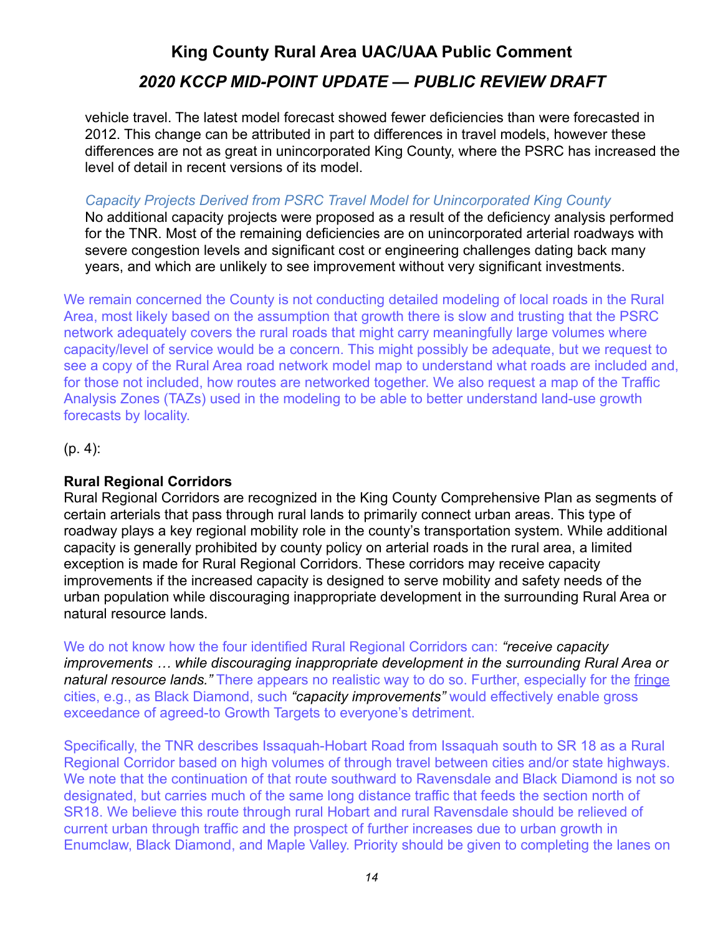vehicle travel. The latest model forecast showed fewer deficiencies than were forecasted in 2012. This change can be attributed in part to differences in travel models, however these differences are not as great in unincorporated King County, where the PSRC has increased the level of detail in recent versions of its model.

#### *Capacity Projects Derived from PSRC Travel Model for Unincorporated King County*

No additional capacity projects were proposed as a result of the deficiency analysis performed for the TNR. Most of the remaining deficiencies are on unincorporated arterial roadways with severe congestion levels and significant cost or engineering challenges dating back many years, and which are unlikely to see improvement without very significant investments.

We remain concerned the County is not conducting detailed modeling of local roads in the Rural Area, most likely based on the assumption that growth there is slow and trusting that the PSRC network adequately covers the rural roads that might carry meaningfully large volumes where capacity/level of service would be a concern. This might possibly be adequate, but we request to see a copy of the Rural Area road network model map to understand what roads are included and, for those not included, how routes are networked together. We also request a map of the Traffic Analysis Zones (TAZs) used in the modeling to be able to better understand land-use growth forecasts by locality.

(p. 4):

### **Rural Regional Corridors**

Rural Regional Corridors are recognized in the King County Comprehensive Plan as segments of certain arterials that pass through rural lands to primarily connect urban areas. This type of roadway plays a key regional mobility role in the county's transportation system. While additional capacity is generally prohibited by county policy on arterial roads in the rural area, a limited exception is made for Rural Regional Corridors. These corridors may receive capacity improvements if the increased capacity is designed to serve mobility and safety needs of the urban population while discouraging inappropriate development in the surrounding Rural Area or natural resource lands.

We do not know how the four identified Rural Regional Corridors can: *"receive capacity improvements … while discouraging inappropriate development in the surrounding Rural Area or natural resource lands."* There appears no realistic way to do so. Further, especially for the fringe cities, e.g., as Black Diamond, such *"capacity improvements"* would effectively enable gross exceedance of agreed-to Growth Targets to everyone's detriment.

Specifically, the TNR describes Issaquah-Hobart Road from Issaquah south to SR 18 as a Rural Regional Corridor based on high volumes of through travel between cities and/or state highways. We note that the continuation of that route southward to Ravensdale and Black Diamond is not so designated, but carries much of the same long distance traffic that feeds the section north of SR18. We believe this route through rural Hobart and rural Ravensdale should be relieved of current urban through traffic and the prospect of further increases due to urban growth in Enumclaw, Black Diamond, and Maple Valley. Priority should be given to completing the lanes on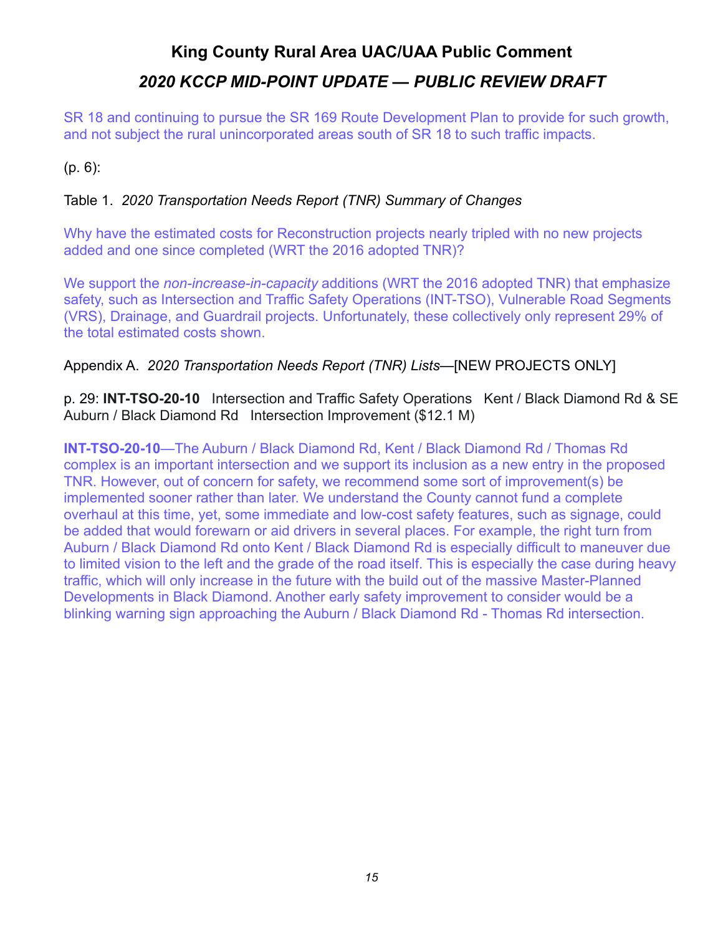SR 18 and continuing to pursue the SR 169 Route Development Plan to provide for such growth, and not subject the rural unincorporated areas south of SR 18 to such traffic impacts.

(p. 6):

### Table 1. *2020 Transportation Needs Report (TNR) Summary of Changes*

Why have the estimated costs for Reconstruction projects nearly tripled with no new projects added and one since completed (WRT the 2016 adopted TNR)?

We support the *non-increase-in-capacity* additions (WRT the 2016 adopted TNR) that emphasize safety, such as Intersection and Traffic Safety Operations (INT-TSO), Vulnerable Road Segments (VRS), Drainage, and Guardrail projects. Unfortunately, these collectively only represent 29% of the total estimated costs shown.

### Appendix A. *2020 Transportation Needs Report (TNR) Lists*—[NEW PROJECTS ONLY]

p. 29: **INT-TSO-20-10** Intersection and Traffic Safety Operations Kent / Black Diamond Rd & SE Auburn / Black Diamond Rd Intersection Improvement (\$12.1 M)

**INT-TSO-20-10**—The Auburn / Black Diamond Rd, Kent / Black Diamond Rd / Thomas Rd complex is an important intersection and we support its inclusion as a new entry in the proposed TNR. However, out of concern for safety, we recommend some sort of improvement(s) be implemented sooner rather than later. We understand the County cannot fund a complete overhaul at this time, yet, some immediate and low-cost safety features, such as signage, could be added that would forewarn or aid drivers in several places. For example, the right turn from Auburn / Black Diamond Rd onto Kent / Black Diamond Rd is especially difficult to maneuver due to limited vision to the left and the grade of the road itself. This is especially the case during heavy traffic, which will only increase in the future with the build out of the massive Master-Planned Developments in Black Diamond. Another early safety improvement to consider would be a blinking warning sign approaching the Auburn / Black Diamond Rd - Thomas Rd intersection.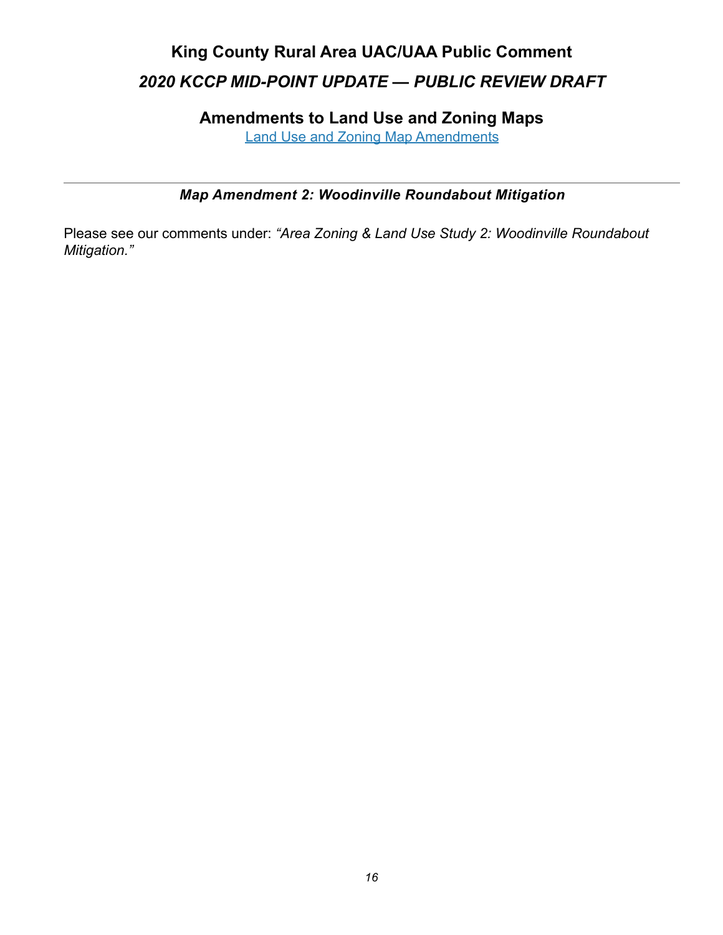<span id="page-15-0"></span>**Amendments to Land Use and Zoning Maps**

[Land Use and Zoning Map Amendments](https://www.kingcounty.gov/~/media/depts/executive/performance-strategy-budget/regional-planning/2020CompPlanUpdate/2020-PRD/d-PRD-Land-Use-and-Zoning-Map-Amendments.ashx?la=en)

### <span id="page-15-1"></span>*Map Amendment 2: Woodinville Roundabout Mitigation*

Please see our comments under: *"Area Zoning & Land Use Study 2: Woodinville Roundabout Mitigation."*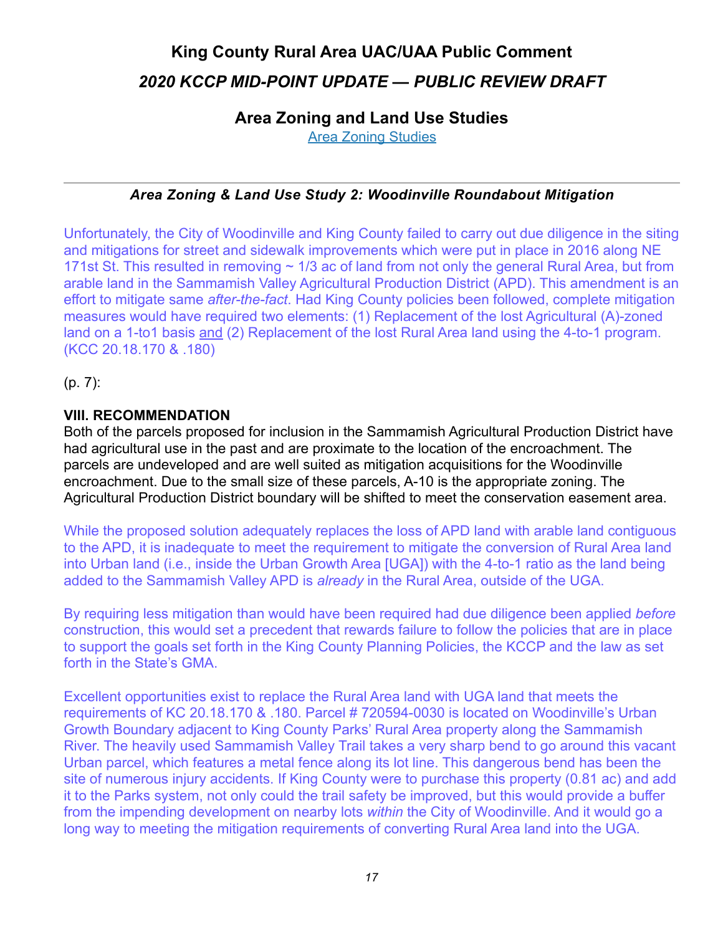### <span id="page-16-0"></span>**Area Zoning and Land Use Studies**

[Area Zoning Studies](https://www.kingcounty.gov/~/media/depts/executive/performance-strategy-budget/regional-planning/2020CompPlanUpdate/2020-PRD/g-Area-Zoning-and-Land-Use-Studies.ashx?la=en)

### <span id="page-16-1"></span>*Area Zoning & Land Use Study 2: Woodinville Roundabout Mitigation*

Unfortunately, the City of Woodinville and King County failed to carry out due diligence in the siting and mitigations for street and sidewalk improvements which were put in place in 2016 along NE 171st St. This resulted in removing  $\sim$  1/3 ac of land from not only the general Rural Area, but from arable land in the Sammamish Valley Agricultural Production District (APD). This amendment is an effort to mitigate same *after-the-fact*. Had King County policies been followed, complete mitigation measures would have required two elements: (1) Replacement of the lost Agricultural (A)-zoned land on a 1-to1 basis and (2) Replacement of the lost Rural Area land using the 4-to-1 program. (KCC 20.18.170 & .180)

(p. 7):

### **VIII. RECOMMENDATION**

Both of the parcels proposed for inclusion in the Sammamish Agricultural Production District have had agricultural use in the past and are proximate to the location of the encroachment. The parcels are undeveloped and are well suited as mitigation acquisitions for the Woodinville encroachment. Due to the small size of these parcels, A-10 is the appropriate zoning. The Agricultural Production District boundary will be shifted to meet the conservation easement area.

While the proposed solution adequately replaces the loss of APD land with arable land contiguous to the APD, it is inadequate to meet the requirement to mitigate the conversion of Rural Area land into Urban land (i.e., inside the Urban Growth Area [UGA]) with the 4-to-1 ratio as the land being added to the Sammamish Valley APD is *already* in the Rural Area, outside of the UGA.

By requiring less mitigation than would have been required had due diligence been applied *before* construction, this would set a precedent that rewards failure to follow the policies that are in place to support the goals set forth in the King County Planning Policies, the KCCP and the law as set forth in the State's GMA.

Excellent opportunities exist to replace the Rural Area land with UGA land that meets the requirements of KC 20.18.170 & .180. Parcel # 720594-0030 is located on Woodinville's Urban Growth Boundary adjacent to King County Parks' Rural Area property along the Sammamish River. The heavily used Sammamish Valley Trail takes a very sharp bend to go around this vacant Urban parcel, which features a metal fence along its lot line. This dangerous bend has been the site of numerous injury accidents. If King County were to purchase this property (0.81 ac) and add it to the Parks system, not only could the trail safety be improved, but this would provide a buffer from the impending development on nearby lots *within* the City of Woodinville. And it would go a long way to meeting the mitigation requirements of converting Rural Area land into the UGA.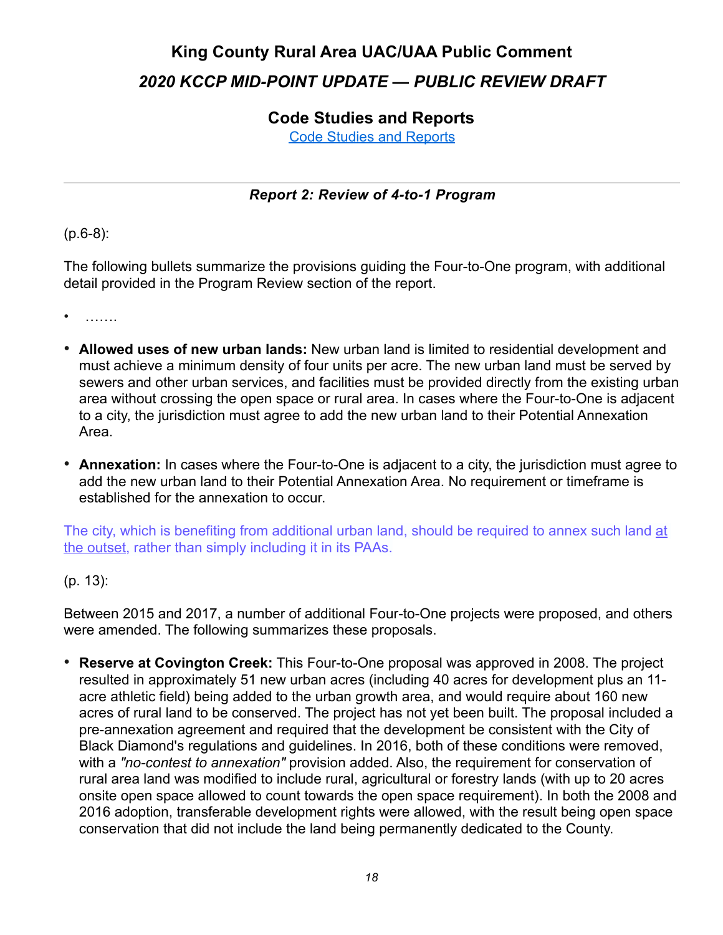### <span id="page-17-0"></span>**Code Studies and Reports**

[Code Studies and Reports](https://www.kingcounty.gov/~/media/depts/executive/performance-strategy-budget/regional-planning/2020CompPlanUpdate/2020-PRD/h-Code-Studies-and-Reports.ashx?la=en)

### <span id="page-17-1"></span>*Report 2: Review of 4-to-1 Program*

### (p.6-8):

The following bullets summarize the provisions guiding the Four-to-One program, with additional detail provided in the Program Review section of the report.

• …….

- **Allowed uses of new urban lands:** New urban land is limited to residential development and must achieve a minimum density of four units per acre. The new urban land must be served by sewers and other urban services, and facilities must be provided directly from the existing urban area without crossing the open space or rural area. In cases where the Four-to-One is adjacent to a city, the jurisdiction must agree to add the new urban land to their Potential Annexation Area.
- **Annexation:** In cases where the Four-to-One is adjacent to a city, the jurisdiction must agree to add the new urban land to their Potential Annexation Area. No requirement or timeframe is established for the annexation to occur.

The city, which is benefiting from additional urban land, should be required to annex such land at the outset, rather than simply including it in its PAAs.

### (p. 13):

Between 2015 and 2017, a number of additional Four-to-One projects were proposed, and others were amended. The following summarizes these proposals.

• **Reserve at Covington Creek:** This Four-to-One proposal was approved in 2008. The project resulted in approximately 51 new urban acres (including 40 acres for development plus an 11 acre athletic field) being added to the urban growth area, and would require about 160 new acres of rural land to be conserved. The project has not yet been built. The proposal included a pre-annexation agreement and required that the development be consistent with the City of Black Diamond's regulations and guidelines. In 2016, both of these conditions were removed, with a *"no-contest to annexation"* provision added. Also, the requirement for conservation of rural area land was modified to include rural, agricultural or forestry lands (with up to 20 acres onsite open space allowed to count towards the open space requirement). In both the 2008 and 2016 adoption, transferable development rights were allowed, with the result being open space conservation that did not include the land being permanently dedicated to the County.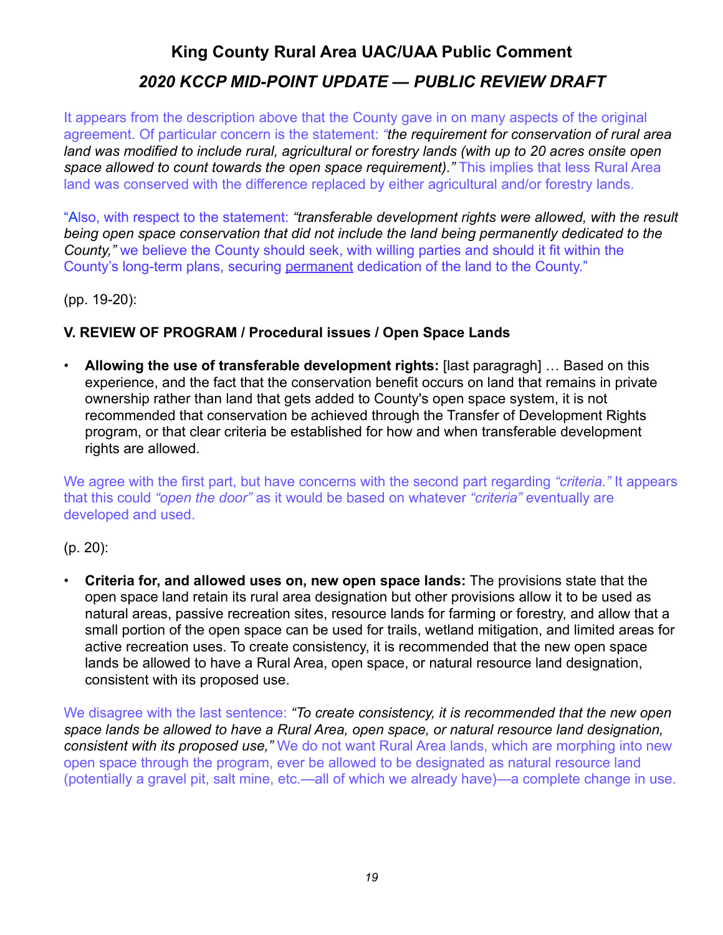It appears from the description above that the County gave in on many aspects of the original agreement. Of particular concern is the statement: *"the requirement for conservation of rural area land was modified to include rural, agricultural or forestry lands (with up to 20 acres onsite open space allowed to count towards the open space requirement)."* This implies that less Rural Area land was conserved with the difference replaced by either agricultural and/or forestry lands.

"Also, with respect to the statement: *"transferable development rights were allowed, with the result being open space conservation that did not include the land being permanently dedicated to the County,"* we believe the County should seek, with willing parties and should it fit within the County's long-term plans, securing permanent dedication of the land to the County."

(pp. 19-20):

### **V. REVIEW OF PROGRAM / Procedural issues / Open Space Lands**

• **Allowing the use of transferable development rights:** [last paragragh] … Based on this experience, and the fact that the conservation benefit occurs on land that remains in private ownership rather than land that gets added to County's open space system, it is not recommended that conservation be achieved through the Transfer of Development Rights program, or that clear criteria be established for how and when transferable development rights are allowed.

We agree with the first part, but have concerns with the second part regarding *"criteria."* It appears that this could *"open the door"* as it would be based on whatever *"criteria"* eventually are developed and used.

(p. 20):

• **Criteria for, and allowed uses on, new open space lands:** The provisions state that the open space land retain its rural area designation but other provisions allow it to be used as natural areas, passive recreation sites, resource lands for farming or forestry, and allow that a small portion of the open space can be used for trails, wetland mitigation, and limited areas for active recreation uses. To create consistency, it is recommended that the new open space lands be allowed to have a Rural Area, open space, or natural resource land designation, consistent with its proposed use.

We disagree with the last sentence: *"To create consistency, it is recommended that the new open space lands be allowed to have a Rural Area, open space, or natural resource land designation, consistent with its proposed use,"* We do not want Rural Area lands, which are morphing into new open space through the program, ever be allowed to be designated as natural resource land (potentially a gravel pit, salt mine, etc.—all of which we already have)—a complete change in use.